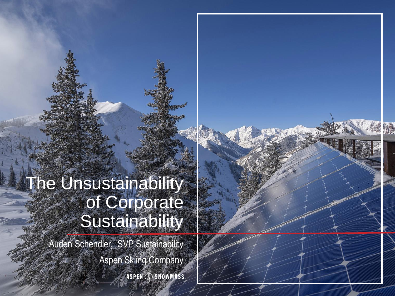## The Unsustainability of Corporate **Sustainability**

Auden Schendler, SVP Sustainability Aspen Skiing CompanyASPEN (SNOWMASS.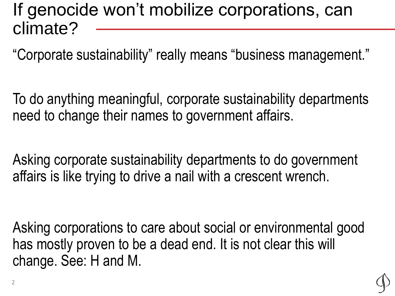### If genocide won't mobilize corporations, can climate?

"Corporate sustainability" really means "business management."

To do anything meaningful, corporate sustainability departments need to change their names to government affairs.

Asking corporate sustainability departments to do government affairs is like trying to drive a nail with a crescent wrench.

Asking corporations to care about social or environmental good has mostly proven to be a dead end. It is not clear this will change. See: H and M.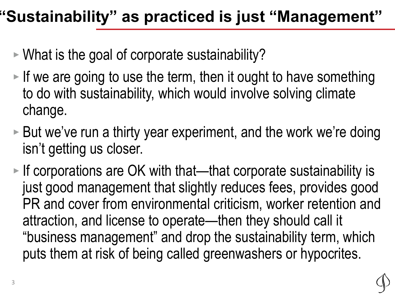### **"Sustainability" as practiced is just "Management"**

- ‣ What is the goal of corporate sustainability?
- $\blacktriangleright$  If we are going to use the term, then it ought to have something to do with sustainability, which would involve solving climate change.
- $\triangleright$  But we've run a thirty year experiment, and the work we're doing isn't getting us closer.
- ‣ If corporations are OK with that—that corporate sustainability is just good management that slightly reduces fees, provides good PR and cover from environmental criticism, worker retention and attraction, and license to operate—then they should call it "business management" and drop the sustainability term, which puts them at risk of being called greenwashers or hypocrites.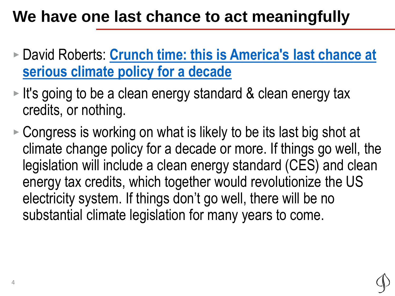### **We have one last chance to act meaningfully**

- ‣ David Roberts: **[Crunch time: this is America's last chance at](https://www.volts.wtf/p/crunch-time-this-is-americas-last)  serious climate policy for a decade**
- ► It's going to be a clean energy standard & clean energy tax credits, or nothing.
- ‣ Congress is working on what is likely to be its last big shot at climate change policy for a decade or more. If things go well, the legislation will include a clean energy standard (CES) and clean energy tax credits, which together would revolutionize the US electricity system. If things don't go well, there will be no substantial climate legislation for many years to come.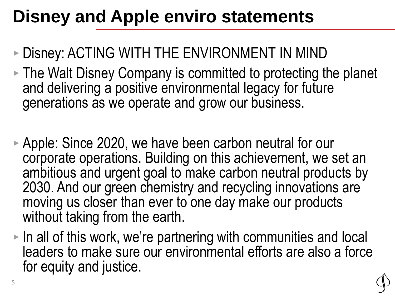# **Disney and Apple enviro statements**

#### ‣ Disney: ACTING WITH THE ENVIRONMENT IN MIND

- ‣ The Walt Disney Company is committed to protecting the planet and delivering a positive environmental legacy for future generations as we operate and grow our business.
- ‣ Apple: Since 2020, we have been carbon neutral for our corporate operations. Building on this achievement, we set an ambitious and urgent goal to make carbon neutral products by 2030. And our green chemistry and recycling innovations are moving us closer than ever to one day make our products without taking from the earth.
- $\triangleright$  In all of this work, we're partnering with communities and local leaders to make sure our environmental efforts are also a force for equity and justice.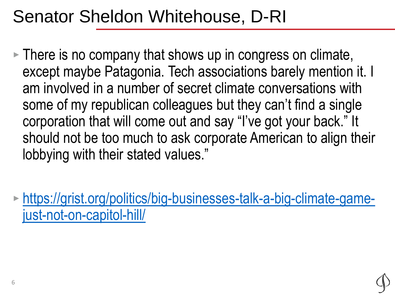# Senator Sheldon Whitehouse, D-RI

- ‣ There is no company that shows up in congress on climate, except maybe Patagonia. Tech associations barely mention it. I am involved in a number of secret climate conversations with some of my republican colleagues but they can't find a single corporation that will come out and say "I've got your back." It should not be too much to ask corporate American to align their lobbying with their stated values."
- ‣ [https://grist.org/politics/big-businesses-talk-a-big-climate-game](https://grist.org/politics/big-businesses-talk-a-big-climate-game-just-not-on-capitol-hill/)just-not-on-capitol-hill/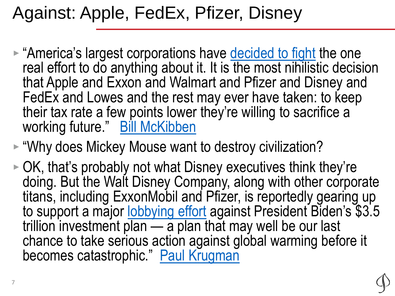# Against: Apple, FedEx, Pfizer, Disney

- "America's largest corporations have [decided to fight](https://www.washingtonpost.com/us-policy/2021/08/31/business-lobbying-democrats-reconciliation/) the one real effort to do anything about it. It is the most nihilistic decision that Apple and Exxon and Walmart and Pfizer and Disney and FedEx and Lowes and the rest may ever have taken: to keep their tax rate a few points lower they're willing to sacrifice a working future." Bill McKibben
- ► "Why does Mickey Mouse want to destroy civilization?
- ‣ OK, that's probably not what Disney executives think they're doing. But the Walt Disney Company, along with other corporate titans, including ExxonMobil and Pfizer, is reportedly gearing up to support a major [lobbying effort](https://www.washingtonpost.com/us-policy/2021/08/31/business-lobbying-democrats-reconciliation/) against President Biden's \$3.5 trillion investment plan — a plan that may well be our last chance to take serious action against global warming before it becomes catastrophic." [Paul Krugman](https://www.nytimes.com/2021/09/02/opinion/corporate-taxes-biden-spending-bill.html)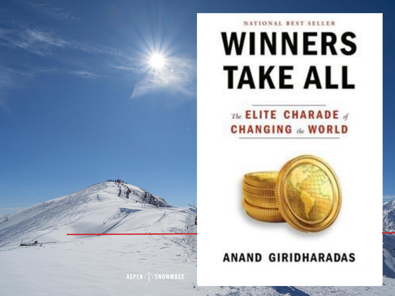

# NATIONAL BEST SELLER **WINNERS TAKE ALL**

#### The ELITE CHARADE **CHANGING & WORLD**



#### **ANAND GIRIDHARADAS**